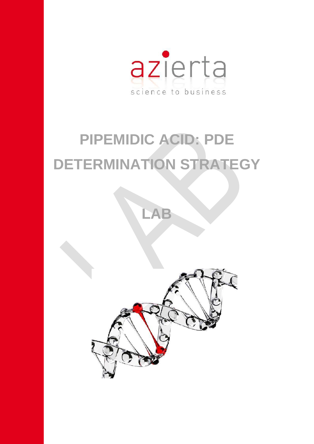

# **PIPEMIDIC ACID: PDE DETERMINATION STRATEGY**

**LAB**

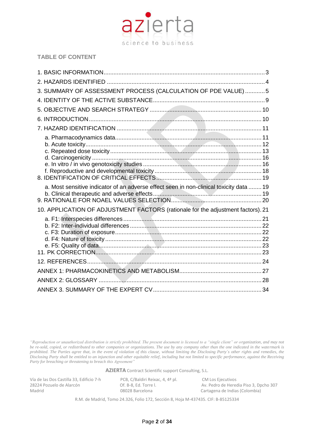

# **TABLE OF CONTENT**

| 3. SUMMARY OF ASSESSMENT PROCESS (CALCULATION OF PDE VALUE)  5                          |  |
|-----------------------------------------------------------------------------------------|--|
|                                                                                         |  |
|                                                                                         |  |
|                                                                                         |  |
|                                                                                         |  |
|                                                                                         |  |
| a. Most sensitive indicator of an adverse effect seen in non-clinical toxicity data  19 |  |
| 10. APPLICATION OF ADJUSTMENT FACTORS (rationale for the adjustment factors). 21        |  |
|                                                                                         |  |
|                                                                                         |  |
|                                                                                         |  |
|                                                                                         |  |
|                                                                                         |  |

*"Reproduction or unauthorized distribution is strictly prohibited. The present document is licensed to a "single client" or organization, and may not be re-sold, copied, or redistributed to other companies or organizations. The use by any company other than the one indicated in the watermark is prohibited. The Parties agree that, in the event of violation of this clause, without limiting the Disclosing Party´s other rights and remedies, the Disclosing Party shall be entitled to an injunction and other equitable relief, including but not limited to specific performance, against the Receiving Party for breaching or threatening to breach this Agreement"*

**AZIERTA** Contract Scientific support Consulting, S.L.

Vía de las Dos Castilla 33, Edificio 7-h PCB, C/Baldiri Reixac, 4, 4ª pl. CM Los Ejecutivos<br>28224 Pozuelo de Alarcón Cf. B-8. Ed. Torre I. Av. Pedro de Herec

28224 Pozuelo de Alarcón <sup>Of. B-8,</sup> Ed. Torre l. Av. Pedro de Heredia Piso 3, Dpcho 307<br>Of. B-8, Ed. Torre l. Av. Pedro de Indias (Colombia) Cartagena de Indias (Colombia)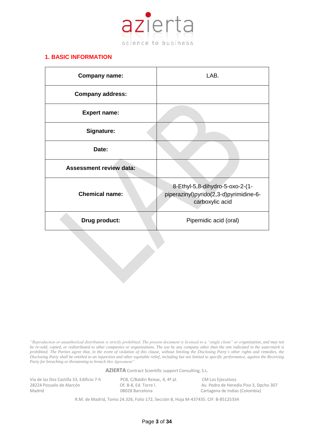

# <span id="page-2-0"></span>**1. BASIC INFORMATION**

| <b>Company name:</b>           | LAB.                                                                                         |
|--------------------------------|----------------------------------------------------------------------------------------------|
| <b>Company address:</b>        |                                                                                              |
| <b>Expert name:</b>            |                                                                                              |
| Signature:                     |                                                                                              |
| Date:                          |                                                                                              |
| <b>Assessment review data:</b> |                                                                                              |
| <b>Chemical name:</b>          | 8-Ethyl-5,8-dihydro-5-oxo-2-(1-<br>piperazinyl)pyrido(2,3-d)pyrimidine-6-<br>carboxylic acid |
| Drug product:                  | Pipemidic acid (oral)                                                                        |

*"Reproduction or unauthorized distribution is strictly prohibited. The present document is licensed to a "single client" or organization, and may not be re-sold, copied, or redistributed to other companies or organizations. The use by any company other than the one indicated in the watermark is prohibited. The Parties agree that, in the event of violation of this clause, without limiting the Disclosing Party´s other rights and remedies, the Disclosing Party shall be entitled to an injunction and other equitable relief, including but not limited to specific performance, against the Receiving Party for breaching or threatening to breach this Agreement"*

**AZIERTA** Contract Scientific support Consulting, S.L.

Vía de las Dos Castilla 33, Edificio 7-h PCB, C/Baldiri Reixac, 4, 4ª pl. CM Los Ejecutivos<br>28224 Pozuelo de Alarcón Cf. B-8. Ed. Torre I. Av. Pedro de Herec

28224 Pozuelo de Alarcón <sup>Of. B-8,</sup> Ed. Torre l. Av. Pedro de Heredia Piso 3, Dpcho 307<br>Of. B-8, Ed. Torre l. Av. Pedro de Indias (Colombia) Cartagena de Indias (Colombia)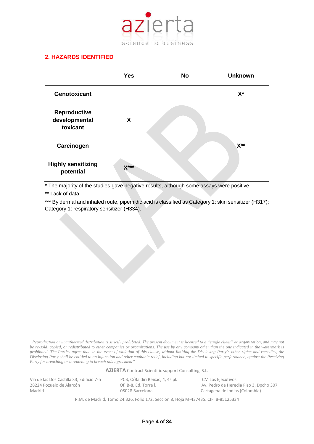

# <span id="page-3-0"></span>**2. HAZARDS IDENTIFIED**

|                                                  | <b>Yes</b> | <b>No</b> | <b>Unknown</b>   |
|--------------------------------------------------|------------|-----------|------------------|
| <b>Genotoxicant</b>                              |            |           | $X^*$            |
| <b>Reproductive</b><br>developmental<br>toxicant | X          |           |                  |
| Carcinogen                                       |            |           | $X^{\star\star}$ |
| <b>Highly sensitizing</b><br>potential           | $X***$     |           |                  |

\* The majority of the studies gave negative results, although some assays were positive.

\*\* Lack of data.

\*\*\* By dermal and inhaled route, pipemidic acid is classified as Category 1: skin sensitizer (H317); Category 1: respiratory sensitizer (H334).

*"Reproduction or unauthorized distribution is strictly prohibited. The present document is licensed to a "single client" or organization, and may not be re-sold, copied, or redistributed to other companies or organizations. The use by any company other than the one indicated in the watermark is prohibited. The Parties agree that, in the event of violation of this clause, without limiting the Disclosing Party´s other rights and remedies, the Disclosing Party shall be entitled to an injunction and other equitable relief, including but not limited to specific performance, against the Receiving Party for breaching or threatening to breach this Agreement"*

**AZIERTA** Contract Scientific support Consulting, S.L.

Vía de las Dos Castilla 33, Edificio 7-h PCB, C/Baldiri Reixac, 4, 4ª pl. CM Los Ejecutivos<br>28224 Pozuelo de Alarcón Cf. B-8. Ed. Torre I. Av. Pedro de Herec

28224 Pozuelo de Alarcón **Calaccia El Canaccia Piso de Alarcón** Of. B-8, Ed. Torre l. Av. Pedro de Heredia Piso 3, Dpcho 307<br>
08028 Barcelona Cartagena de Indias (Colombia) Cartagena de Indias (Colombia)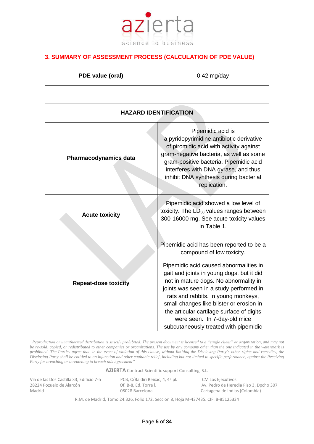

# <span id="page-4-0"></span>**3. SUMMARY OF ASSESSMENT PROCESS (CALCULATION OF PDE VALUE)**

| PDE value (oral) | $0.42$ mg/day |
|------------------|---------------|
|                  |               |

| <b>HAZARD IDENTIFICATION</b> |                                                                                                                                                                                                                                                                                                                                                                                                                                                           |  |
|------------------------------|-----------------------------------------------------------------------------------------------------------------------------------------------------------------------------------------------------------------------------------------------------------------------------------------------------------------------------------------------------------------------------------------------------------------------------------------------------------|--|
| <b>Pharmacodynamics data</b> | Pipemidic acid is<br>a pyridopyrimidine antibiotic derivative<br>of piromidic acid with activity against<br>gram-negative bacteria, as well as some<br>gram-positive bacteria. Pipemidic acid<br>interferes with DNA gyrase, and thus<br>inhibit DNA synthesis during bacterial<br>replication.                                                                                                                                                           |  |
| <b>Acute toxicity</b>        | Pipemidic acid showed a low level of<br>toxicity. The LD <sub>50</sub> values ranges between<br>300-16000 mg. See acute toxicity values<br>in Table 1.                                                                                                                                                                                                                                                                                                    |  |
| <b>Repeat-dose toxicity</b>  | Pipemidic acid has been reported to be a<br>compound of low toxicity.<br>Pipemidic acid caused abnormalities in<br>gait and joints in young dogs, but it did<br>not in mature dogs. No abnormality in<br>joints was seen in a study performed in<br>rats and rabbits. In young monkeys,<br>small changes like blister or erosion in<br>the articular cartilage surface of digits<br>were seen. In 7-day-old mice<br>subcutaneously treated with pipemidic |  |

*"Reproduction or unauthorized distribution is strictly prohibited. The present document is licensed to a "single client" or organization, and may not be re-sold, copied, or redistributed to other companies or organizations. The use by any company other than the one indicated in the watermark is prohibited. The Parties agree that, in the event of violation of this clause, without limiting the Disclosing Party´s other rights and remedies, the Disclosing Party shall be entitled to an injunction and other equitable relief, including but not limited to specific performance, against the Receiving Party for breaching or threatening to breach this Agreement"*

**AZIERTA** Contract Scientific support Consulting, S.L.

Vía de las Dos Castilla 33, Edificio 7-h PCB, C/Baldiri Reixac, 4, 4ª pl. CM Los Ejecutivos<br>28224 Pozuelo de Alarcón Cf. B-8. Ed. Torre I. Av. Pedro de Herec

28224 Pozuelo de Alarcón <sup>Of. B-8,</sup> Ed. Torre l. Av. Pedro de Heredia Piso 3, Dpcho 307<br>Of. B-8, Ed. Torre l. Av. Pedro de Indias (Colombia) Cartagena de Indias (Colombia)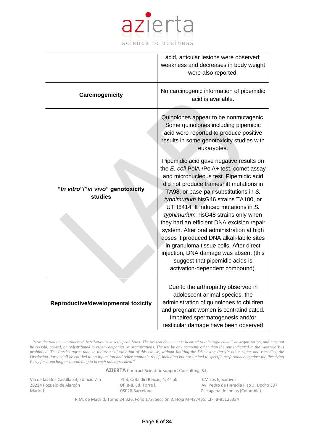

|                                              | acid, articular lesions were observed;<br>weakness and decreases in body weight<br>were also reported.                                                                                                                                                                                                                                                                                                                                                                                                                                                                                                                                                                                                                                                                                                                             |
|----------------------------------------------|------------------------------------------------------------------------------------------------------------------------------------------------------------------------------------------------------------------------------------------------------------------------------------------------------------------------------------------------------------------------------------------------------------------------------------------------------------------------------------------------------------------------------------------------------------------------------------------------------------------------------------------------------------------------------------------------------------------------------------------------------------------------------------------------------------------------------------|
| Carcinogenicity                              | No carcinogenic information of pipemidic<br>acid is available.                                                                                                                                                                                                                                                                                                                                                                                                                                                                                                                                                                                                                                                                                                                                                                     |
| "In vitro"/"in vivo" genotoxicity<br>studies | Quinolones appear to be nonmutagenic.<br>Some quinolones including pipemidic<br>acid were reported to produce positive<br>results in some genotoxicity studies with<br>eukaryotes.<br>Pipemidic acid gave negative results on<br>the E. coli PolA-/PolA+ test, comet assay<br>and micronucleous test. Pipemidic acid<br>did not produce frameshift mutations in<br>TA98, or base-pair substitutions in S.<br>typhimurium hisG46 strains TA100, or<br>UTH8414. It induced mutations in S.<br>typhimurium hisG48 strains only when<br>they had an efficient DNA excision repair<br>system. After oral administration at high<br>doses it produced DNA alkali-labile sites<br>in granuloma tissue cells. After direct<br>injection, DNA damage was absent (this<br>suggest that pipemidic acids is<br>activation-dependent compound). |
| Reproductive/developmental toxicity          | Due to the arthropathy observed in<br>adolescent animal species, the<br>administration of quinolones to children<br>and pregnant women is contraindicated.<br>Impaired spermatogenesis and/or<br>testicular damage have been observed                                                                                                                                                                                                                                                                                                                                                                                                                                                                                                                                                                                              |

*"Reproduction or unauthorized distribution is strictly prohibited. The present document is licensed to a "single client" or organization, and may not be re-sold, copied, or redistributed to other companies or organizations. The use by any company other than the one indicated in the watermark is prohibited. The Parties agree that, in the event of violation of this clause, without limiting the Disclosing Party´s other rights and remedies, the Disclosing Party shall be entitled to an injunction and other equitable relief, including but not limited to specific performance, against the Receiving Party for breaching or threatening to breach this Agreement"*

**AZIERTA** Contract Scientific support Consulting, S.L.

Vía de las Dos Castilla 33, Edificio 7-h PCB, C/Baldiri Reixac, 4, 4ª pl. CM Los Ejecutivos<br>28224 Pozuelo de Alarcón Cf. B-8. Ed. Torre I. Av. Pedro de Herec

28224 Pozuelo de Alarcón <sup>Of. B-8,</sup> Ed. Torre l. Av. Pedro de Heredia Piso 3, Dpcho 307<br>Of. B-8, Ed. Torre l. Av. Pedro de Indias (Colombia) Cartagena de Indias (Colombia)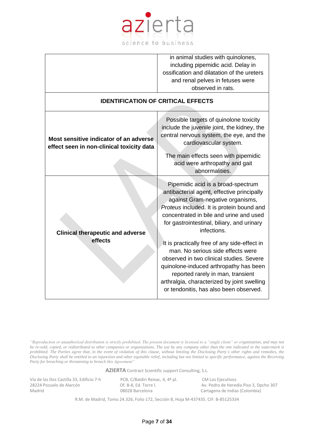

|                                                                                     | in animal studies with quinolones,<br>including pipemidic acid. Delay in<br>ossification and dilatation of the ureters<br>and renal pelves in fetuses were<br>observed in rats.                                                                                                                                                                                                                                                                                                                                                                                                    |
|-------------------------------------------------------------------------------------|------------------------------------------------------------------------------------------------------------------------------------------------------------------------------------------------------------------------------------------------------------------------------------------------------------------------------------------------------------------------------------------------------------------------------------------------------------------------------------------------------------------------------------------------------------------------------------|
| <b>IDENTIFICATION OF CRITICAL EFFECTS</b>                                           |                                                                                                                                                                                                                                                                                                                                                                                                                                                                                                                                                                                    |
| Most sensitive indicator of an adverse<br>effect seen in non-clinical toxicity data | Possible targets of quinolone toxicity<br>include the juvenile joint, the kidney, the<br>central nervous system, the eye, and the<br>cardiovascular system.<br>The main effects seen with pipemidic<br>acid were arthropathy and gait<br>abnormalities.                                                                                                                                                                                                                                                                                                                            |
| <b>Clinical therapeutic and adverse</b><br>effects                                  | Pipemidic acid is a broad-spectrum<br>antibacterial agent, effective principally<br>against Gram-negative organisms,<br>Proteus included. It is protein bound and<br>concentrated in bile and urine and used<br>for gastrointestinal, biliary, and urinary<br>infections.<br>It is practically free of any side-effect in<br>man. No serious side effects were<br>observed in two clinical studies. Severe<br>quinolone-induced arthropathy has been<br>reported rarely in man, transient<br>arthralgia, characterized by joint swelling<br>or tendonitis, has also been observed. |

*"Reproduction or unauthorized distribution is strictly prohibited. The present document is licensed to a "single client" or organization, and may not be re-sold, copied, or redistributed to other companies or organizations. The use by any company other than the one indicated in the watermark is prohibited. The Parties agree that, in the event of violation of this clause, without limiting the Disclosing Party´s other rights and remedies, the Disclosing Party shall be entitled to an injunction and other equitable relief, including but not limited to specific performance, against the Receiving Party for breaching or threatening to breach this Agreement"*

**AZIERTA** Contract Scientific support Consulting, S.L.

Vía de las Dos Castilla 33, Edificio 7-h PCB, C/Baldiri Reixac, 4, 4ª pl. CM Los Ejecutivos<br>28224 Pozuelo de Alarcón Cf. B-8. Ed. Torre I. Av. Pedro de Herec

28224 Pozuelo de Alarcón <sup>Of. B-8,</sup> Ed. Torre l. Av. Pedro de Heredia Piso 3, Dpcho 307<br>Of. B-8, Ed. Torre l. Av. Pedro de Indias (Colombia) Cartagena de Indias (Colombia)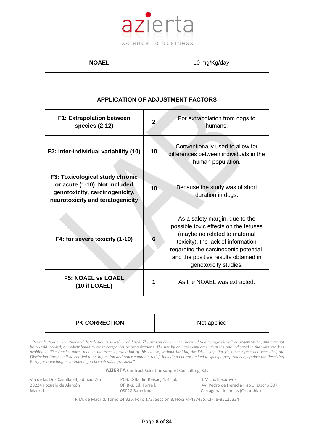

**NOAEL** 10 mg/Kg/day

| <b>APPLICATION OF ADJUSTMENT FACTORS</b>                                                                                               |                |                                                                                                                                                                                                                                                          |
|----------------------------------------------------------------------------------------------------------------------------------------|----------------|----------------------------------------------------------------------------------------------------------------------------------------------------------------------------------------------------------------------------------------------------------|
| <b>F1: Extrapolation between</b><br>species (2-12)                                                                                     | $\overline{2}$ | For extrapolation from dogs to<br>humans.                                                                                                                                                                                                                |
| F2: Inter-individual variability (10)                                                                                                  | 10             | Conventionally used to allow for<br>differences between individuals in the<br>human population.                                                                                                                                                          |
| F3: Toxicological study chronic<br>or acute (1-10). Not included<br>genotoxicity, carcinogenicity,<br>neurotoxicity and teratogenicity | 10             | Because the study was of short<br>duration in dogs.                                                                                                                                                                                                      |
| F4: for severe toxicity (1-10)                                                                                                         | 6              | As a safety margin, due to the<br>possible toxic effects on the fetuses<br>(maybe no related to maternal<br>toxicity), the lack of information<br>regarding the carcinogenic potential,<br>and the positive results obtained in<br>genotoxicity studies. |
| <b>F5: NOAEL vs LOAEL</b><br>(10 if LOAEL)                                                                                             | 1              | As the NOAEL was extracted.                                                                                                                                                                                                                              |

|--|

*"Reproduction or unauthorized distribution is strictly prohibited. The present document is licensed to a "single client" or organization, and may not be re-sold, copied, or redistributed to other companies or organizations. The use by any company other than the one indicated in the watermark is prohibited. The Parties agree that, in the event of violation of this clause, without limiting the Disclosing Party´s other rights and remedies, the Disclosing Party shall be entitled to an injunction and other equitable relief, including but not limited to specific performance, against the Receiving Party for breaching or threatening to breach this Agreement"*

**AZIERTA** Contract Scientific support Consulting, S.L.

Vía de las Dos Castilla 33, Edificio 7-h PCB, C/Baldiri Reixac, 4, 4ª pl. CM Los Ejecutivos<br>28224 Pozuelo de Alarcón Cf. B-8, Ed. Torre I. Av. Pedro de Herec

28224 Pozuelo de Alarcón <sup>Of. B-8,</sup> Ed. Torre l. Av. Pedro de Heredia Piso 3, Dpcho 307<br>Of. B-8, Ed. Torre l. Av. Pedro de Indias (Colombia) Cartagena de Indias (Colombia)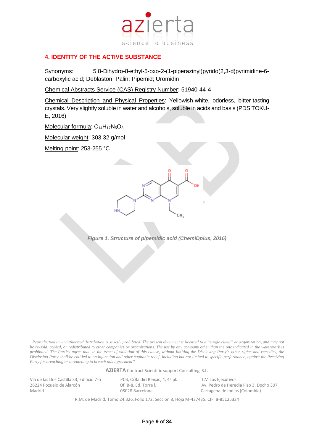

## <span id="page-8-0"></span>**4. IDENTITY OF THE ACTIVE SUBSTANCE**

Synonyms: 5,8-Dihydro-8-ethyl-5-oxo-2-(1-piperazinyl)pyrido(2,3-d)pyrimidine-6 carboxylic acid; Deblaston; Palin; Pipemid; Uromidin

Chemical Abstracts Service (CAS) Registry Number: 51940-44-4

Chemical Description and Physical Properties: Yellowish-white, odorless, bitter-tasting crystals. Very slightly soluble in water and alcohols, soluble in acids and basis (PDS TOKU-E, 2016)

Molecular formula:  $C_{14}H_{17}N_5O_3$ 

Molecular weight: 303.32 g/mol

Melting point: 253-255 °C



*Figure 1. Structure of pipemidic acid (ChemIDplus, 2016)*

*"Reproduction or unauthorized distribution is strictly prohibited. The present document is licensed to a "single client" or organization, and may not be re-sold, copied, or redistributed to other companies or organizations. The use by any company other than the one indicated in the watermark is prohibited. The Parties agree that, in the event of violation of this clause, without limiting the Disclosing Party´s other rights and remedies, the Disclosing Party shall be entitled to an injunction and other equitable relief, including but not limited to specific performance, against the Receiving Party for breaching or threatening to breach this Agreement"*

**AZIERTA** Contract Scientific support Consulting, S.L.

Vía de las Dos Castilla 33, Edificio 7-h PCB, C/Baldiri Reixac, 4, 4ª pl. CM Los Ejecutivos<br>28224 Pozuelo de Alarcón Cf. B-8. Ed. Torre I. Av. Pedro de Herec

28224 Pozuelo de Alarcón **Calaccia Executa Calaccia Piso de Alaccia** Piso 3, Dpcho 307<br>
08028 Barcelona **Cartagena de Indias (Colombia)** Madrid 08028 Barcelona Cartagena de Indias (Colombia)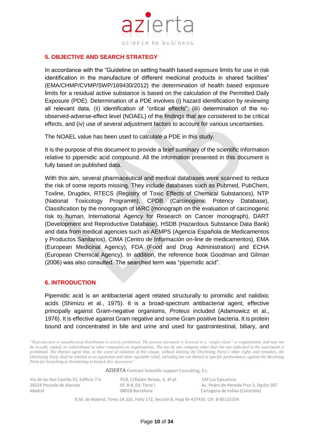

#### <span id="page-9-0"></span>**5. OBJECTIVE AND SEARCH STRATEGY**

In accordance with the "Guideline on setting health based exposure limits for use in risk identification in the manufacture of different medicinal products in shared facilities" (EMA/CHMP/CVMP/SWP/169430/2012) the determination of health based exposure limits for a residual active substance is based on the calculation of the Permitted Daily Exposure (PDE). Determination of a PDE involves (i) hazard identification by reviewing all relevant data, (ii) identification of "critical effects", (iii) determination of the noobserved-adverse-effect level (NOAEL) of the findings that are considered to be critical effects, and (iv) use of several adjustment factors to account for various uncertainties.

The NOAEL value has been used to calculate a PDE in this study.

It is the purpose of this document to provide a brief summary of the scientific information relative to pipemidic acid compound. All the information presented in this document is fully based on published data.

With this aim, several pharmaceutical and medical databases were scanned to reduce the risk of some reports missing. They include databases such as Pubmed, PubChem, Toxline, Drugdex, RTECS (Registry of Toxic Effects of Chemical Substances), NTP (National Toxicology Programm), CPDB (Carcinogenic Potency Database), Classification by the monograph of IARC (monograph on the evaluation of carcinogenic risk to human, International Agency for Research on Cancer monograph), DART (Development and Reproductive Database), HSDB (Hazardous Substance Data Bank) and data from medical agencies such as AEMPS (Agencia Española de Medicamentos y Productos Sanitarios), CIMA (Centro de Información on-line de medicamentos), EMA (European Medicinal Agency), FDA (Food and Drug Administration) and ECHA (European Chemical Agency). In addition, the reference book Goodman and Gilman (2006) was also consulted. The searched term was "pipemidic acid".

#### <span id="page-9-1"></span>**6. INTRODUCTION**

Pipemidic acid is an antibacterial agent related structurally to piromidic and nalidixic acids (Shimizu et al., 1975). It is a broad-spectrum antibacterial agent, effective principally against Gram-negative organisms, *Proteus* included (Adamowicz et al., 1976). It is effective against Gram negative and some Gram positive bacteria. It is protein bound and concentrated in bile and urine and used for gastrointestinal, biliary, and

*"Reproduction or unauthorized distribution is strictly prohibited. The present document is licensed to a "single client" or organization, and may not be re-sold, copied, or redistributed to other companies or organizations. The use by any company other than the one indicated in the watermark is prohibited. The Parties agree that, in the event of violation of this clause, without limiting the Disclosing Party´s other rights and remedies, the Disclosing Party shall be entitled to an injunction and other equitable relief, including but not limited to specific performance, against the Receiving Party for breaching or threatening to breach this Agreement"*

**AZIERTA** Contract Scientific support Consulting, S.L.

Vía de las Dos Castilla 33, Edificio 7-h PCB, C/Baldiri Reixac, 4, 4ª pl. CM Los Ejecutivos Madrid 08028 Barcelona Cartagena de Indias (Colombia)

28224 Pozuelo de Alarcón Of. B-8, Ed. Torre l. Av. Pedro de Heredia Piso 3, Dpcho 307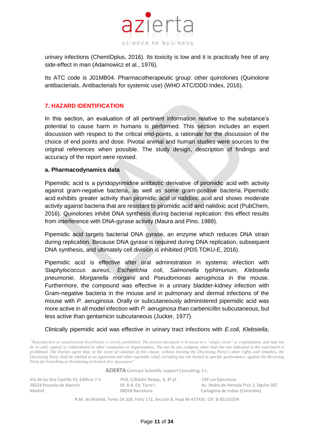

urinary infections (ChemIDplus, 2016). Its toxicity is low and it is practically free of any side-effect in man (Adamowicz et al., 1976).

Its ATC code is J01MB04. Pharmacotherapeutic group: other quinolones (Quinolone antibacterials. Antibacterials for systemic use) (WHO ATC/DDD Index, 2016).

# <span id="page-10-0"></span>**7. HAZARD IDENTIFICATION**

In this section, an evaluation of all pertinent information relative to the substance's potential to cause harm in humans is performed. This section includes an expert discussion with respect to the critical end-points, a rationale for the discussion of the choice of end points and dose. Pivotal animal and human studies were sources to the original references when possible. The study design, description of findings and accuracy of the report were revised.

#### <span id="page-10-1"></span>**a. Pharmacodynamics data**

Pipemidic acid is a [pyridopyrimidine](https://pubchem.ncbi.nlm.nih.gov/compound/pyridopyrimidine) antibiotic derivative of [piromidic acid](https://pubchem.ncbi.nlm.nih.gov/compound/piromidic%20acid) with activity against gram-negative bacteria, as well as some gram-positive bacteria. Pipemidic acid exhibits greater activity than [piromidic acid](https://pubchem.ncbi.nlm.nih.gov/compound/piromidic%20acid) or [nalidixic acid](https://pubchem.ncbi.nlm.nih.gov/compound/nalidixic%20acid) and shows moderate activity against bacteria that are resistant to [piromidic acid](https://pubchem.ncbi.nlm.nih.gov/compound/piromidic%20acid) and [nalidixic acid](https://pubchem.ncbi.nlm.nih.gov/compound/nalidixic%20acid) (PubChem, 2016). Quinolones inhibit DNA synthesis during bacterial replication: this effect results from interference with DNA-gyrase activity (Maura and Pino, 1988).

Pipemidic acid targets bacterial DNA gyrase, an enzyme which reduces DNA strain during replication. Because DNA gyrase is required during DNA replication, subsequent DNA synthesis, and ultimately cell division is inhibited (PDS TOKU-E, 2016).

Pipemidic acid is effective after oral administration in systemic infection with *Staphylococcus aureus*, *Escherichia coli*, *Salmonella typhimurium*, *Klebsiella pneumonie*, *Morganella morganii* and *Pseudomonas aeruginosa* in the mouse. Furthermore, the compound was effective in a urinary bladder-kidney infection with Gram-negative bacteria in the mouse and in pulmonary and dermal infections of the mouse with *P. aeruginosa*. Orally or subcutaneously administered pipemidic acid was more active in all model infection with *P. aeruginosa* than carbenicillin subcutaneous, but less active than gentamicin subcutaneous (Jucker, 1977).

Clinically pipemidic acid was effective in urinary tract infections with *E.coli*, *Klebsiella*,

*"Reproduction or unauthorized distribution is strictly prohibited. The present document is licensed to a "single client" or organization, and may not be re-sold, copied, or redistributed to other companies or organizations. The use by any company other than the one indicated in the watermark is prohibited. The Parties agree that, in the event of violation of this clause, without limiting the Disclosing Party´s other rights and remedies, the Disclosing Party shall be entitled to an injunction and other equitable relief, including but not limited to specific performance, against the Receiving Party for breaching or threatening to breach this Agreement"*

**AZIERTA** Contract Scientific support Consulting, S.L.

| Vía de las Dos Castilla 33, Edificio 7-h |
|------------------------------------------|
| 28224 Pozuelo de Alarcón                 |
| Madrid                                   |

PCB, C/Baldiri Reixac, 4, 4ª pl. CM Los Ejecutivos<br>Of. B-8. Ed. Torre l. CM Los Equiposes

Av. Pedro de Heredia Piso 3, Dpcho 307 08028 Barcelona Cartagena de Indias (Colombia)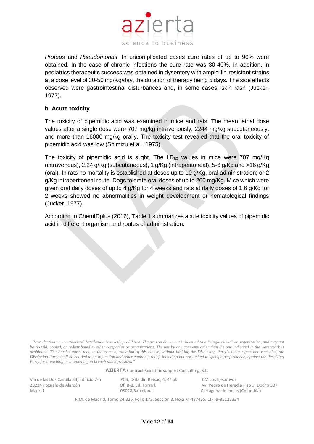

*Proteus* and *Pseudomonas*. In uncomplicated cases cure rates of up to 90% were obtained. In the case of chronic infections the cure rate was 30-40%. In addition, in pediatrics therapeutic success was obtained in dysentery with ampicillin-resistant strains at a dose level of 30-50 mg/Kg/day, the duration of therapy being 5 days. The side effects observed were gastrointestinal disturbances and, in some cases, skin rash (Jucker, 1977).

# <span id="page-11-0"></span>**b. Acute toxicity**

The toxicity of pipemidic acid was examined in mice and rats. The mean lethal dose values after a single dose were 707 mg/kg intravenously, 2244 mg/kg subcutaneously, and more than 16000 mg/kg orally. The toxicity test revealed that the oral toxicity of pipemidic acid was low (Shimizu et al., 1975).

The toxicity of pipemidic acid is slight. The  $LD_{50}$  values in mice were 707 mg/Kg (intravenous), 2.24 g/Kg (subcutaneous), 1 g/Kg (intraperitoneal), 5-6 g/Kg and >16 g/Kg (oral). In rats no mortality is established at doses up to 10 g/Kg, oral administration; or 2 g/Kg intraperitoneal route. Dogs tolerate oral doses of up to 200 mg/Kg. Mice which were given oral daily doses of up to 4 g/Kg for 4 weeks and rats at daily doses of 1.6 g/Kg for 2 weeks showed no abnormalities in weight development or hematological findings (Jucker, 1977).

According to ChemIDplus (2016), Table 1 summarizes acute toxicity values of pipemidic acid in different organism and routes of administration.

*"Reproduction or unauthorized distribution is strictly prohibited. The present document is licensed to a "single client" or organization, and may not be re-sold, copied, or redistributed to other companies or organizations. The use by any company other than the one indicated in the watermark is prohibited. The Parties agree that, in the event of violation of this clause, without limiting the Disclosing Party´s other rights and remedies, the Disclosing Party shall be entitled to an injunction and other equitable relief, including but not limited to specific performance, against the Receiving Party for breaching or threatening to breach this Agreement"*

**AZIERTA** Contract Scientific support Consulting, S.L.

Vía de las Dos Castilla 33, Edificio 7-h PCB, C/Baldiri Reixac, 4, 4ª pl. CM Los Ejecutivos Madrid 08028 Barcelona Cartagena de Indias (Colombia)

28224 Pozuelo de Alarcón Of. B-8, Ed. Torre l. Av. Pedro de Heredia Piso 3, Dpcho 307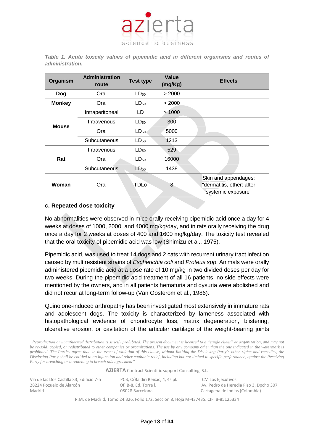

*Table 1. Acute toxicity values of pipemidic acid in different organisms and routes of administration.*

| Organism      | <b>Administration</b><br>route | <b>Test type</b> | Value<br>(mg/Kg) | <b>Effects</b>                                                          |
|---------------|--------------------------------|------------------|------------------|-------------------------------------------------------------------------|
| Dog           | Oral                           | $LD_{50}$        | > 2000           |                                                                         |
| <b>Monkey</b> | Oral                           | LD <sub>50</sub> | > 2000           |                                                                         |
|               | Intraperitoneal                | LD               | >1000            |                                                                         |
| <b>Mouse</b>  | Intravenous                    | $LD_{50}$        | 300              |                                                                         |
|               | Oral                           | $LD_{50}$        | 5000             |                                                                         |
|               | Subcutaneous                   | $LD_{50}$        | 1213             |                                                                         |
|               | Intravenous                    | $LD_{50}$        | 529              |                                                                         |
| Rat           | Oral                           | $LD_{50}$        | 16000            |                                                                         |
|               | Subcutaneous                   | $LD_{50}$        | 1438             |                                                                         |
| Woman         | Oral                           | TDLo             | 8                | Skin and appendages:<br>"dermatitis, other: after<br>systemic exposure" |

## <span id="page-12-0"></span>**c. Repeated dose toxicity**

No abnormalities were observed in mice orally receiving pipemidic acid once a day for 4 weeks at doses of 1000, 2000, and 4000 mg/kg/day, and in rats orally receiving the drug once a day for 2 weeks at doses of 400 and 1600 mg/kg/day. The toxicity test revealed that the oral toxicity of pipemidic acid was low (Shimizu et al., 1975).

Pipemidic acid, was used to treat 14 dogs and 2 cats with recurrent urinary tract infection caused by multiresistent strains of *Escherichia coli* and *Proteus spp*. Animals were orally administered pipemidic acid at a dose rate of 10 mg/kg in two divided doses per day for two weeks. During the pipemidic acid treatment of all 16 patients, no side effects were mentioned by the owners, and in all patients hematuria and dysuria were abolished and did not recur at long-term follow-up (Van Oosterom et al., 1986).

Quinolone-induced arthropathy has been investigated most extensively in immature rats and adolescent dogs. The toxicity is characterized by lameness associated with histopathological evidence of chondrocyte loss, matrix degeneration, blistering, ulcerative erosion, or cavitation of the articular cartilage of the weight-bearing joints

*"Reproduction or unauthorized distribution is strictly prohibited. The present document is licensed to a "single client" or organization, and may not be re-sold, copied, or redistributed to other companies or organizations. The use by any company other than the one indicated in the watermark is prohibited. The Parties agree that, in the event of violation of this clause, without limiting the Disclosing Party´s other rights and remedies, the Disclosing Party shall be entitled to an injunction and other equitable relief, including but not limited to specific performance, against the Receiving Party for breaching or threatening to breach this Agreement"*

**AZIERTA** Contract Scientific support Consulting, S.L.

| Vía de las Dos Castilla 33, Edificio 7-h |
|------------------------------------------|
| 28224 Pozuelo de Alarcón                 |
| Madrid                                   |

PCB, C/Baldiri Reixac, 4, 4ª pl. CM Los Ejecutivos 282. Port. B-8, Ed. Torre l. Av. Pedro de Heredia Piso 3, Dpcho 307 08028 Barcelona Cartagena de Indias (Colombia)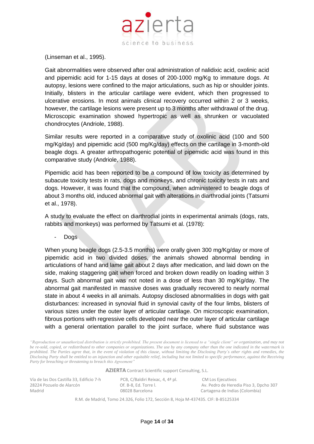

(Linseman et al., 1995).

Gait abnormalities were observed after oral administration of nalidixic acid, oxolinic acid and pipemidic acid for 1-15 days at doses of 200-1000 mg/Kg to immature dogs. At autopsy, lesions were confined to the major articulations, such as hip or shoulder joints. Initially, blisters in the articular cartilage were evident, which then progressed to ulcerative erosions. In most animals clinical recovery occurred within 2 or 3 weeks, however, the cartilage lesions were present up to 3 months after withdrawal of the drug. Microscopic examination showed hypertropic as well as shrunken or vacuolated chondrocytes (Andriole, 1988).

Similar results were reported in a comparative study of oxolinic acid (100 and 500 mg/Kg/day) and pipemidic acid (500 mg/Kg/day) effects on the cartilage in 3-month-old beagle dogs. A greater arthropathogenic potential of pipemidic acid was found in this comparative study (Andriole, 1988).

Pipemidic acid has been reported to be a compound of low toxicity as determined by subacute toxicity tests in rats, dogs and monkeys, and chronic toxicity tests in rats and dogs. However, it was found that the compound, when administered to beagle dogs of about 3 months old, induced abnormal gait with alterations in diarthrodial joints (Tatsumi et al., 1978).

A study to evaluate the effect on diarthrodial joints in experimental animals (dogs, rats, rabbits and monkeys) was performed by Tatsumi et al. (1978):

Dog<sub>s</sub>

When young beagle dogs (2.5-3.5 months) were orally given 300 mg/Kg/day or more of pipemidic acid in two divided doses, the animals showed abnormal bending in articulations of hand and lame gait about 2 days after medication, and laid down on the side, making staggering gait when forced and broken down readily on loading within 3 days. Such abnormal gait was not noted in a dose of less than 30 mg/Kg/day. The abnormal gait manifested in massive doses was gradually recovered to nearly normal state in about 4 weeks in all animals. Autopsy disclosed abnormalities in dogs with gait disturbances: increased in synovial fluid in synovial cavity of the four limbs, blisters of various sizes under the outer layer of articular cartilage. On microscopic examination, fibrous portions with regressive cells developed near the outer layer of articular cartilage with a general orientation parallel to the joint surface, where fluid substance was

*"Reproduction or unauthorized distribution is strictly prohibited. The present document is licensed to a "single client" or organization, and may not be re-sold, copied, or redistributed to other companies or organizations. The use by any company other than the one indicated in the watermark is prohibited. The Parties agree that, in the event of violation of this clause, without limiting the Disclosing Party´s other rights and remedies, the Disclosing Party shall be entitled to an injunction and other equitable relief, including but not limited to specific performance, against the Receiving Party for breaching or threatening to breach this Agreement"*

**AZIERTA** Contract Scientific support Consulting, S.L.

Vía de las Dos Castilla 33, Edificio 7-h PCB, C/Baldiri Reixac, 4, 4ª pl. CM Los Ejecutivos Madrid 08028 Barcelona Cartagena de Indias (Colombia)

28224 Pozuelo de Alarcón Of. B-8, Ed. Torre l. Av. Pedro de Heredia Piso 3, Dpcho 307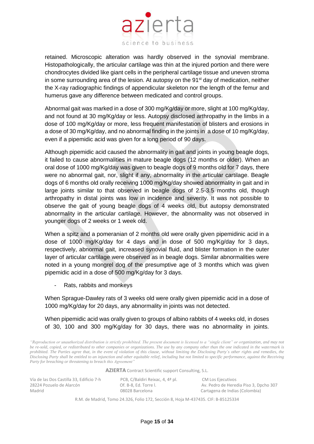

retained. Microscopic alteration was hardly observed in the synovial membrane. Histopathologically, the articular cartilage was thin at the injured portion and there were chondrocytes divided like giant cells in the peripheral cartilage tissue and uneven stroma in some surrounding area of the lesion. At autopsy on the  $91<sup>st</sup>$  day of medication, neither the X-ray radiographic findings of appendicular skeleton nor the length of the femur and humerus gave any difference between medicated and control groups.

Abnormal gait was marked in a dose of 300 mg/Kg/day or more, slight at 100 mg/Kg/day, and not found at 30 mg/Kg/day or less. Autopsy disclosed arthropathy in the limbs in a dose of 100 mg/Kg/day or more, less frequent manifestation of blisters and erosions in a dose of 30 mg/Kg/day, and no abnormal finding in the joints in a dose of 10 mg/Kg/day, even if a pipemidic acid was given for a long period of 90 days.

Although pipemidic acid caused the abnormality in gait and joints in young beagle dogs, it failed to cause abnormalities in mature beagle dogs (12 months or older). When an oral dose of 1000 mg/Kg/day was given to beagle dogs of 9 months old for 7 days, there were no abnormal gait, nor, slight if any, abnormality in the articular cartilage. Beagle dogs of 6 months old orally receiving 1000 mg/Kg/day showed abnormality in gait and in large joints similar to that observed in beagle dogs of 2.5-3.5 months old, though arthropathy in distal joints was low in incidence and severity. It was not possible to observe the gait of young beagle dogs of 4 weeks old, but autopsy demonstrated abnormality in the articular cartilage. However, the abnormality was not observed in younger dogs of 2 weeks or 1 week old.

When a spitz and a pomeranian of 2 months old were orally given pipemidinic acid in a dose of 1000 mg/Kg/day for 4 days and in dose of 500 mg/Kg/day for 3 days, respectively, abnormal gait, increased synovial fluid, and blister formation in the outer layer of articular cartilage were observed as in beagle dogs. Similar abnormalities were noted in a young mongrel dog of the presumptive age of 3 months which was given pipemidic acid in a dose of 500 mg/Kg/day for 3 days.

Rats, rabbits and monkeys

When Sprague-Dawley rats of 3 weeks old were orally given pipemidic acid in a dose of 1000 mg/Kg/day for 20 days, any abnormality in joints was not detected.

When pipemidic acid was orally given to groups of albino rabbits of 4 weeks old, in doses of 30, 100 and 300 mg/Kg/day for 30 days, there was no abnormality in joints.

*"Reproduction or unauthorized distribution is strictly prohibited. The present document is licensed to a "single client" or organization, and may not be re-sold, copied, or redistributed to other companies or organizations. The use by any company other than the one indicated in the watermark is prohibited. The Parties agree that, in the event of violation of this clause, without limiting the Disclosing Party´s other rights and remedies, the Disclosing Party shall be entitled to an injunction and other equitable relief, including but not limited to specific performance, against the Receiving Party for breaching or threatening to breach this Agreement"*

**AZIERTA** Contract Scientific support Consulting, S.L.

| Vía de las Dos Castilla 33, Edificio 7-h | PCB, C/Baldiri Reixac, 4, 4ª pl. | CM Los Ejecutivos                      |
|------------------------------------------|----------------------------------|----------------------------------------|
| 28224 Pozuelo de Alarcón                 | Of. B-8. Ed. Torre I.            | Av. Pedro de Heredia Piso 3, Dpcho 307 |
| Madrid                                   | 08028 Barcelona                  | Cartagena de Indias (Colombia)         |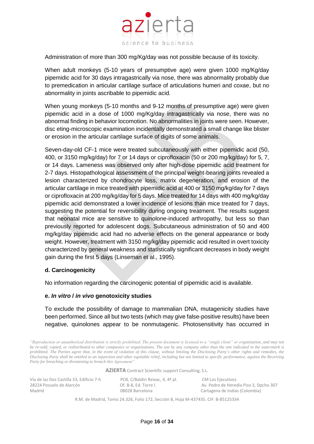

Administration of more than 300 mg/Kg/day was not possible because of its toxicity.

When adult monkeys (5-10 years of presumptive age) were given 1000 mg/Kg/day pipemidic acid for 30 days intragastrically via nose, there was abnormality probably due to premedication in articular cartilage surface of articulations humeri and coxae, but no abnormality in joints ascribable to pipemidic acid.

When young monkeys (5-10 months and 9-12 months of presumptive age) were given pipemidic acid in a dose of 1000 mg/Kg/day intragastrically via nose, there was no abnormal finding in behavior locomotion. No abnormalities in joints were seen. However, disc eting-microscopic examination incidentally demonstrated a small change like blister or erosion in the articular cartilage surface of digits of some animals.

Seven-day-old CF-1 mice were treated subcutaneously with either pipemidic acid (50, 400, or 3150 mg/kg/day) for 7 or 14 days or ciprofloxacin (50 or 200 mg/kg/day) for 5, 7, or 14 days. Lameness was observed only after high-dose pipemidic acid treatment for 2-7 days. Histopathological assessment of the principal weight-bearing joints revealed a lesion characterized by chondrocyte loss, matrix degeneration, and erosion of the articular cartilage in mice treated with pipemidic acid at 400 or 3150 mg/kg/day for 7 days or ciprofloxacin at 200 mg/kg/day for 5 days. Mice treated for 14 days with 400 mg/kg/day pipemidic acid demonstrated a lower incidence of lesions than mice treated for 7 days, suggesting the potential for reversibility during ongoing treatment. The results suggest that neonatal mice are sensitive to quinolone-induced arthropathy, but less so than previously reported for adolescent dogs. Subcutaneous administration of 50 and 400 mg/kg/day pipemidic acid had no adverse effects on the general appearance or body weight. However, treatment with 3150 mg/kg/day pipemidic acid resulted in overt toxicity characterized by general weakness and statistically significant decreases in body weight gain during the first 5 days (Linseman et al., 1995).

#### <span id="page-15-0"></span>**d. Carcinogenicity**

No information regarding the carcinogenic potential of pipemidic acid is available.

#### <span id="page-15-1"></span>**e.** *In vitro* **/** *in vivo* **genotoxicity studies**

To exclude the possibility of damage to mammalian DNA, mutagenicity studies have been performed. Since all but two tests (which may give false-positive results) have been negative, quinolones appear to be nonmutagenic. Photosensitivity has occurred in

*"Reproduction or unauthorized distribution is strictly prohibited. The present document is licensed to a "single client" or organization, and may not be re-sold, copied, or redistributed to other companies or organizations. The use by any company other than the one indicated in the watermark is prohibited. The Parties agree that, in the event of violation of this clause, without limiting the Disclosing Party´s other rights and remedies, the Disclosing Party shall be entitled to an injunction and other equitable relief, including but not limited to specific performance, against the Receiving Party for breaching or threatening to breach this Agreement"*

**AZIERTA** Contract Scientific support Consulting, S.L.

| Vía de las Dos Castilla 33, Edificio 7-h | PCB, C/Baldiri Reixac, 4, 4ª pl. | CM Los Ejecutivos                      |
|------------------------------------------|----------------------------------|----------------------------------------|
| 28224 Pozuelo de Alarcón                 | Of. B-8. Ed. Torre l.            | Av. Pedro de Heredia Piso 3, Dpcho 307 |
| Madrid                                   | 08028 Barcelona                  | Cartagena de Indias (Colombia)         |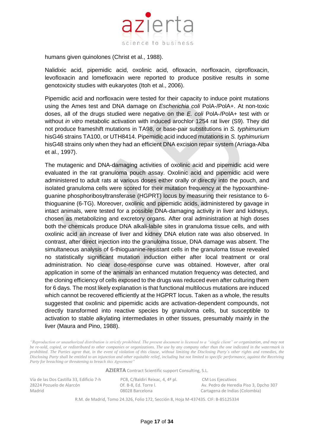

humans given quinolones (Christ et al., 1988).

Nalidixic acid, pipemidic acid, oxolinic acid, ofloxacin, norfloxacin, ciprofloxacin, levofloxacin and lomefloxacin were reported to produce positive results in some genotoxicity studies with eukaryotes (Itoh et al., 2006).

Pipemidic acid and norfloxacin were tested for their capacity to induce point mutations using the Ames test and DNA damage on *Escherichia coli* PolA-/PolA+. At non-toxic doses, all of the drugs studied were negative on the *E. coli* PolA-/PolA+ test with or without *in vitro* metabolic activation with induced arochlor 1254 rat liver (S9). They did not produce frameshift mutations in TA98, or base-pair substitutions in *S. typhimurium* hisG46 strains TA100, or UTH8414. Pipemidic acid induced mutations in *S. typhimurium* hisG48 strains only when they had an efficient DNA excision repair system (Arriaga-Alba et al., 1997).

The mutagenic and DNA-damaging activities of oxolinic acid and pipemidic acid were evaluated in the rat granuloma pouch assay. Oxolinic acid and pipemidic acid were administered to adult rats at various doses either orally or directly into the pouch, and isolated granuloma cells were scored for their mutation frequency at the hypoxanthineguanine phosphoribosyltransferase (HGPRT) locus by measuring their resistance to 6 thioguanine (6-TG). Moreover, oxolinic and pipemidic acids, administered by gavage in intact animals, were tested for a possible DNA-damaging activity in liver and kidneys, chosen as metabolizing and excretory organs. After oral administration at high doses both the chemicals produce DNA alkali-labile sites in granuloma tissue cells, and with oxolinic acid an increase of liver and kidney DNA elution rate was also observed. In contrast, after direct injection into the granuloma tissue, DNA damage was absent. The simultaneous analysis of 6-thioguanine-resistant cells in the granuloma tissue revealed no statistically significant mutation induction either after local treatment or oral administration. No clear dose-response curve was obtained. However, after oral application in some of the animals an enhanced mutation frequency was detected, and the cloning efficiency of cells exposed to the drugs was reduced even after culturing them for 6 days. The most likely explanation is that functional multilocus mutations are induced which cannot be recovered efficiently at the HGPRT locus. Taken as a whole, the results suggested that oxolinic and pipemidic acids are activation-dependent compounds, not directly transformed into reactive species by granuloma cells, but susceptible to activation to stable alkylating intermediates in other tissues, presumably mainly in the liver (Maura and Pino, 1988).

*"Reproduction or unauthorized distribution is strictly prohibited. The present document is licensed to a "single client" or organization, and may not be re-sold, copied, or redistributed to other companies or organizations. The use by any company other than the one indicated in the watermark is prohibited. The Parties agree that, in the event of violation of this clause, without limiting the Disclosing Party´s other rights and remedies, the Disclosing Party shall be entitled to an injunction and other equitable relief, including but not limited to specific performance, against the Receiving Party for breaching or threatening to breach this Agreement"*

**AZIERTA** Contract Scientific support Consulting, S.L.

Vía de las Dos Castilla 33, Edificio 7-h PCB, C/Baldiri Reixac, 4, 4ª pl. CM Los Ejecutivos Madrid 08028 Barcelona Cartagena de Indias (Colombia)

28224 Pozuelo de Alarcón Of. B-8, Ed. Torre l. Av. Pedro de Heredia Piso 3, Dpcho 307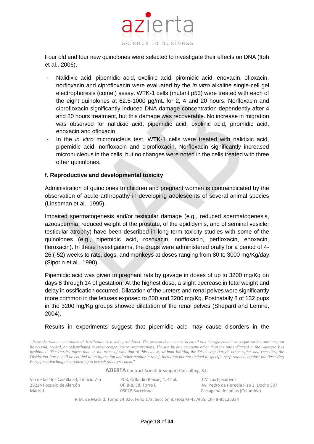

Four old and four new quinolones were selected to investigate their effects on DNA (Itoh et al., 2006).

- Nalidixic acid, pipemidic acid, oxolinic acid, piromidic acid, enoxacin, ofloxacin, norfloxacin and ciprofloxacin were evaluated by the *in vitro* alkaline single-cell gel electrophoresis (comet) assay. WTK-1 cells (mutant p53) were treated with each of the eight quinolones at 62.5-1000 µg/mL for 2, 4 and 20 hours. Norfloxacin and ciprofloxacin significantly induced DNA damage concentration-dependently after 4 and 20 hours treatment, but this damage was recoverable. No increase in migration was observed for nalidixic acid, pipemidic acid, oxolinic acid, piromidic acid, enoxacin and ofloxacin.
- In the *in vitro* micronucleus test, WTK-1 cells were treated with nalidixic acid, pipemidic acid, norfloxacin and ciprofloxacin. Norfloxacin significantly increased micronucleous in the cells, but no changes were noted in the cells treated with three other quinolones.

## <span id="page-17-0"></span>**f. Reproductive and developmental toxicity**

Administration of quinolones to children and pregnant women is contraindicated by the observation of acute arthropathy in developing adolescents of several animal species (Linseman et al., 1995).

Impaired spermatogenesis and/or testicular damage (e.g., reduced spermatogenesis, azoospermia; reduced weight of the prostate, of the epididymis, and of seminal vesicle; testicular atrophy) have been described in long-term toxicity studies with some of the quinolones (e.g., pipemidic acid, rosoxacin, norfloxacin, perfloxacin, enoxacin, fleroxacin). In these investigations, the drugs were administered orally for a period of 4- 26 (-52) weeks to rats, dogs, and monkeys at doses ranging from 80 to 3000 mg/Kg/day (Siporin et al., 1990).

Pipemidic acid was given to pregnant rats by gavage in doses of up to 3200 mg/Kg on days 8 through 14 of gestation. At the highest dose, a slight decrease in fetal weight and delay in ossification occurred. Dilatation of the ureters and renal pelves were significantly more common in the fetuses exposed to 800 and 3200 mg/Kg. Postnatally 8 of 132 pups in the 3200 mg/Kg groups showed dilatation of the renal pelves (Shepard and Lemire, 2004).

Results in experiments suggest that pipemidic acid may cause disorders in the

*"Reproduction or unauthorized distribution is strictly prohibited. The present document is licensed to a "single client" or organization, and may not be re-sold, copied, or redistributed to other companies or organizations. The use by any company other than the one indicated in the watermark is prohibited. The Parties agree that, in the event of violation of this clause, without limiting the Disclosing Party´s other rights and remedies, the Disclosing Party shall be entitled to an injunction and other equitable relief, including but not limited to specific performance, against the Receiving Party for breaching or threatening to breach this Agreement"*

**AZIERTA** Contract Scientific support Consulting, S.L.

| Vía de las Dos Castilla 33, Edificio 7-h | PCB, C/Baldiri Reixac, 4, 4ª pl. | CM Los Ejecutivos                      |
|------------------------------------------|----------------------------------|----------------------------------------|
| 28224 Pozuelo de Alarcón                 | Of. B-8. Ed. Torre I.            | Av. Pedro de Heredia Piso 3, Dpcho 307 |
| Madrid                                   | 08028 Barcelona                  | Cartagena de Indias (Colombia)         |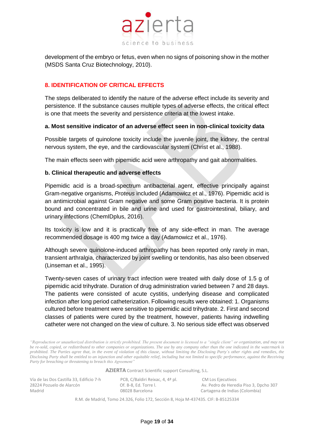

development of the embryo or fetus, even when no signs of poisoning show in the mother (MSDS Santa Cruz Biotechnology, 2010).

# <span id="page-18-0"></span>**8. IDENTIFICATION OF CRITICAL EFFECTS**

The steps deliberated to identify the nature of the adverse effect include its severity and persistence. If the substance causes multiple types of adverse effects, the critical effect is one that meets the severity and persistence criteria at the lowest intake.

## <span id="page-18-1"></span>**a. Most sensitive indicator of an adverse effect seen in non-clinical toxicity data**

Possible targets of quinolone toxicity include the juvenile joint, the kidney, the central nervous system, the eye, and the cardiovascular system (Christ et al., 1988).

The main effects seen with pipemidic acid were arthropathy and gait abnormalities.

## <span id="page-18-2"></span>**b. Clinical therapeutic and adverse effects**

Pipemidic acid is a broad-spectrum antibacterial agent, effective principally against Gram-negative organisms, *Proteus* included (Adamowicz et al., 1976). Pipemidic acid is an antimicrobial against Gram negative and some Gram positive bacteria. It is protein bound and concentrated in bile and urine and used for gastrointestinal, biliary, and urinary infections (ChemIDplus, 2016).

Its toxicity is low and it is practically free of any side-effect in man. The average recommended dosage is 400 mg twice a day (Adamowicz et al., 1976).

Although severe quinolone-induced arthropathy has been reported only rarely in man, transient arthralgia, characterized by joint swelling or tendonitis, has also been observed (Linseman et al., 1995).

Twenty-seven cases of urinary tract infection were treated with daily dose of 1.5 g of pipemidic acid trihydrate. Duration of drug administration varied between 7 and 28 days. The patients were consisted of acute cystitis, underlying disease and complicated infection after long period catheterization. Following results were obtained: 1. Organisms cultured before treatment were sensitive to pipemidic acid trihydrate. 2. First and second classes of patients were cured by the treatment, however, patients having indwelling catheter were not changed on the view of culture. 3. No serious side effect was observed

*"Reproduction or unauthorized distribution is strictly prohibited. The present document is licensed to a "single client" or organization, and may not be re-sold, copied, or redistributed to other companies or organizations. The use by any company other than the one indicated in the watermark is prohibited. The Parties agree that, in the event of violation of this clause, without limiting the Disclosing Party´s other rights and remedies, the Disclosing Party shall be entitled to an injunction and other equitable relief, including but not limited to specific performance, against the Receiving Party for breaching or threatening to breach this Agreement"*

**AZIERTA** Contract Scientific support Consulting, S.L.

Vía de las Dos Castilla 33, Edificio 7-h PCB, C/Baldiri Reixac, 4, 4ª pl. CM Los Ejecutivos<br>28224 Pozuelo de Alarcón Cf. B-8, Ed. Torre l. Av. Pedro de Herec Madrid 08028 Barcelona Cartagena de Indias (Colombia)

28224 Pozuelo de Alarcón Of. B-8, Ed. Torre l. Av. Pedro de Heredia Piso 3, Dpcho 307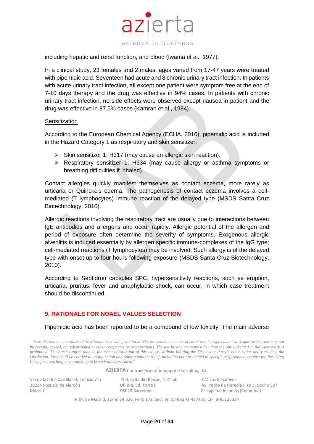

including hepatic and renal function, and blood (Iwama et al., 1977).

In a clinical study, 23 females and 2 males, ages varied from 17-47 years were treated with pipemidic acid. Seventeen had acute and 8 chronic urinary tract infection. In patients with acute urinary tract infection, all except one patient were symptom free at the end of 7-10 days therapy and the drug was effective in 94% cases. In patients with chronic urinary tract infection, no side effects were observed except nausea in patient and the drug was effective in 87.5% cases (Kamran et al., 1984).

#### **Sensitization**

According to the European Chemical Agency (ECHA, 2016), pipemidic acid is included in the Hazard Category 1 as respiratory and skin sensitizer:

- ➢ Skin sensitizer 1: H317 (may cause an allergic skin reaction).
- ➢ Respiratory sensitizer 1: H334 (may cause allergy or asthma symptoms or breathing difficulties if inhaled).

Contact allergies quickly manifest themselves as contact eczema, more rarely as urticaria or Quincke's edema. The pathogenesis of contact eczema involves a cellmediated (T lymphocytes) immune reaction of the delayed type (MSDS Santa Cruz Biotechnology, 2010).

Allergic reactions involving the respiratory tract are usually due to interactions between IgE antibodies and allergens and occur rapidly. Allergic potential of the allergen and period of exposure often determine the severity of symptoms. Exogenous allergic alveolitis is induced essentially by allergen specific immune-complexes of the IgG type; cell-mediated reactions (T lymphocytes) may be involved. Such allergy is of the delayed type with onset up to four hours following exposure (MSDS Santa Cruz Biotechnology, 2010).

According to Septidron capsules SPC, hypersensitivity reactions, such as eruption, urticaria, pruritus, fever and anaphylactic shock, can occur, in which case treatment should be discontinued.

# <span id="page-19-0"></span>**9. RATIONALE FOR NOAEL VALUES SELECTION**

#### Pipemidic acid has been reported to be a compound of low toxicity. The main adverse

*"Reproduction or unauthorized distribution is strictly prohibited. The present document is licensed to a "single client" or organization, and may not be re-sold, copied, or redistributed to other companies or organizations. The use by any company other than the one indicated in the watermark is prohibited. The Parties agree that, in the event of violation of this clause, without limiting the Disclosing Party´s other rights and remedies, the Disclosing Party shall be entitled to an injunction and other equitable relief, including but not limited to specific performance, against the Receiving Party for breaching or threatening to breach this Agreement"*

**AZIERTA** Contract Scientific support Consulting, S.L.

Vía de las Dos Castilla 33, Edificio 7-h PCB, C/Baldiri Reixac, 4, 4ª pl. CM Los Ejecutivos<br>28224 Pozuelo de Alarcón Cf. B-8, Ed. Torre l. Av. Pedro de Herec Madrid 08028 Barcelona Cartagena de Indias (Colombia)

28224 Pozuelo de Alarcón Of. B-8, Ed. Torre l. Av. Pedro de Heredia Piso 3, Dpcho 307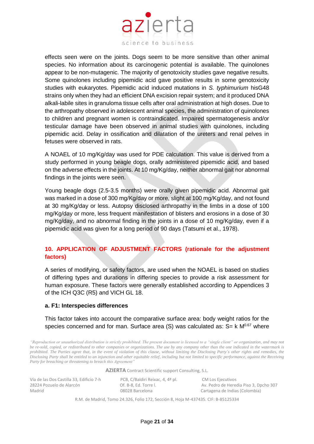

effects seen were on the joints. Dogs seem to be more sensitive than other animal species. No information about its carcinogenic potential is available. The quinolones appear to be non-mutagenic. The majority of genotoxicity studies gave negative results. Some quinolones including pipemidic acid gave positive results in some genotoxicity studies with eukaryotes. Pipemidic acid induced mutations in *S. typhimurium* hisG48 strains only when they had an efficient DNA excision repair system; and it produced DNA alkali-labile sites in granuloma tissue cells after oral administration at high doses. Due to the arthropathy observed in adolescent animal species, the administration of quinolones to children and pregnant women is contraindicated. Impaired spermatogenesis and/or testicular damage have been observed in animal studies with quinolones, including pipemidic acid. Delay in ossification and dilatation of the ureters and renal pelves in fetuses were observed in rats.

A NOAEL of 10 mg/Kg/day was used for PDE calculation. This value is derived from a study performed in young beagle dogs, orally administered pipemidic acid, and based on the adverse effects in the joints. At 10 mg/Kg/day, neither abnormal gait nor abnormal findings in the joints were seen.

Young beagle dogs (2.5-3.5 months) were orally given pipemidic acid. Abnormal gait was marked in a dose of 300 mg/Kg/day or more, slight at 100 mg/Kg/day, and not found at 30 mg/Kg/day or less. Autopsy disclosed arthropathy in the limbs in a dose of 100 mg/Kg/day or more, less frequent manifestation of blisters and erosions in a dose of 30 mg/Kg/day, and no abnormal finding in the joints in a dose of 10 mg/Kg/day, even if a pipemidic acid was given for a long period of 90 days (Tatsumi et al., 1978).

# <span id="page-20-0"></span>**10. APPLICATION OF ADJUSTMENT FACTORS (rationale for the adjustment factors)**

A series of modifying, or safety factors, are used when the NOAEL is based on studies of differing types and durations in differing species to provide a risk assessment for human exposure. These factors were generally established according to Appendices 3 of the ICH Q3C (R5) and VICH GL 18.

#### <span id="page-20-1"></span>**a. F1: Interspecies differences**

This factor takes into account the comparative surface area: body weight ratios for the species concerned and for man. Surface area (S) was calculated as:  $S = k$  M<sup>0.67</sup> where

*"Reproduction or unauthorized distribution is strictly prohibited. The present document is licensed to a "single client" or organization, and may not be re-sold, copied, or redistributed to other companies or organizations. The use by any company other than the one indicated in the watermark is prohibited. The Parties agree that, in the event of violation of this clause, without limiting the Disclosing Party´s other rights and remedies, the Disclosing Party shall be entitled to an injunction and other equitable relief, including but not limited to specific performance, against the Receiving Party for breaching or threatening to breach this Agreement"*

**AZIERTA** Contract Scientific support Consulting, S.L.

| Vía de las Dos Castilla 33, Edificio 7-h | PCB, C/Baldiri Reixac, 4, 4ª pl. | CM Los Ejecutivos                      |
|------------------------------------------|----------------------------------|----------------------------------------|
| 28224 Pozuelo de Alarcón                 | Of. B-8. Ed. Torre I.            | Av. Pedro de Heredia Piso 3, Dpcho 307 |
| Madrid                                   | 08028 Barcelona                  | Cartagena de Indias (Colombia)         |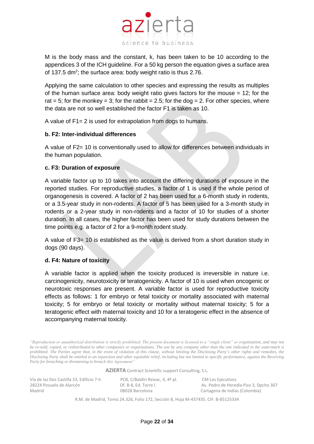M is the body mass and the constant, k, has been taken to be 10 according to the appendices 3 of the ICH guideline. For a 50 kg person the equation gives a surface area of 137.5 dm<sup>2</sup>; the surface area: body weight ratio is thus 2.76.

science to business

azierta

Applying the same calculation to other species and expressing the results as multiples of the human surface area: body weight ratio gives factors for the mouse = 12; for the rat = 5; for the monkey = 3; for the rabbit = 2.5; for the dog = 2. For other species, where the data are not so well established the factor F1 is taken as 10.

A value of F1= 2 is used for extrapolation from dogs to humans.

#### <span id="page-21-0"></span>**b. F2: Inter-individual differences**

A value of F2= 10 is conventionally used to allow for differences between individuals in the human population.

#### <span id="page-21-1"></span>**c. F3: Duration of exposure**

A variable factor up to 10 takes into account the differing durations of exposure in the reported studies. For reproductive studies, a factor of 1 is used if the whole period of organogenesis is covered. A factor of 2 has been used for a 6-month study in rodents, or a 3.5-year study in non-rodents. A factor of 5 has been used for a 3-month study in rodents or a 2-year study in non-rodents and a factor of 10 for studies of a shorter duration. In all cases, the higher factor has been used for study durations between the time points e.g. a factor of 2 for a 9-month rodent study.

A value of F3= 10 is established as the value is derived from a short duration study in dogs (90 days).

#### <span id="page-21-2"></span>**d. F4: Nature of toxicity**

A variable factor is applied when the toxicity produced is irreversible in nature i.e. carcinogenicity, neurotoxicity or teratogenicity. A factor of 10 is used when oncogenic or neurotoxic responses are present. A variable factor is used for reproductive toxicity effects as follows: 1 for embryo or fetal toxicity or mortality associated with maternal toxicity; 5 for embryo or fetal toxicity or mortality without maternal toxicity; 5 for a teratogenic effect with maternal toxicity and 10 for a teratogenic effect in the absence of accompanying maternal toxicity.

*"Reproduction or unauthorized distribution is strictly prohibited. The present document is licensed to a "single client" or organization, and may not be re-sold, copied, or redistributed to other companies or organizations. The use by any company other than the one indicated in the watermark is prohibited. The Parties agree that, in the event of violation of this clause, without limiting the Disclosing Party´s other rights and remedies, the Disclosing Party shall be entitled to an injunction and other equitable relief, including but not limited to specific performance, against the Receiving Party for breaching or threatening to breach this Agreement"*

**AZIERTA** Contract Scientific support Consulting, S.L.

| Vía de las Dos Castilla 33, Edificio 7-h | PCB, C/Baldiri Reixac, 4, 4ª pl. | CM Los Ejecutivos                      |
|------------------------------------------|----------------------------------|----------------------------------------|
| 28224 Pozuelo de Alarcón                 | Of. B-8. Ed. Torre I.            | Av. Pedro de Heredia Piso 3, Dpcho 307 |
| Madrid                                   | 08028 Barcelona                  | Cartagena de Indias (Colombia)         |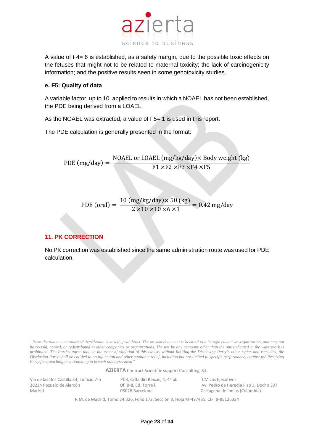

A value of F4= 6 is established, as a safety margin, due to the possible toxic effects on the fetuses that might not to be related to maternal toxicity; the lack of carcinogenicity information; and the positive results seen in some genotoxicity studies.

## <span id="page-22-0"></span>**e. F5: Quality of data**

A variable factor, up to 10, applied to results in which a NOAEL has not been established, the PDE being derived from a LOAEL.

As the NOAEL was extracted, a value of F5= 1 is used in this report.

The PDE calculation is generally presented in the format:

PDE  $(mg/day) =$ NOAEL or LOAEL (mg/kg/day)× Body weight (kg)  $F1 \times F2 \times F3 \times F4 \times F5$ 

 $PDE$  (oral) = 10 (mg/kg/day)× 50 (kg)  $2 \times 10 \times 10 \times 6 \times 1$  $= 0.42$  mg/day

# <span id="page-22-1"></span>**11. PK CORRECTION**

No PK correction was established since the same administration route was used for PDE calculation.

*"Reproduction or unauthorized distribution is strictly prohibited. The present document is licensed to a "single client" or organization, and may not be re-sold, copied, or redistributed to other companies or organizations. The use by any company other than the one indicated in the watermark is prohibited. The Parties agree that, in the event of violation of this clause, without limiting the Disclosing Party´s other rights and remedies, the Disclosing Party shall be entitled to an injunction and other equitable relief, including but not limited to specific performance, against the Receiving Party for breaching or threatening to breach this Agreement"*

**AZIERTA** Contract Scientific support Consulting, S.L.

Vía de las Dos Castilla 33, Edificio 7-h PCB, C/Baldiri Reixac, 4, 4ª pl. CM Los Ejecutivos<br>28224 Pozuelo de Alarcón Cf. B-8, Ed. Torre l. Av. Pedro de Herec Madrid 08028 Barcelona Cartagena de Indias (Colombia)

28224 Pozuelo de Alarcón Of. B-8, Ed. Torre l. Av. Pedro de Heredia Piso 3, Dpcho 307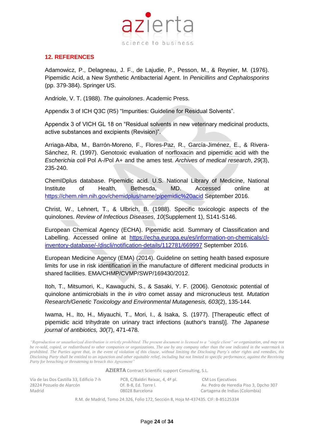

# <span id="page-23-0"></span>**12. REFERENCES**

Adamowicz, P., Delagneau, J. F., de Lajudie, P., Pesson, M., & Reynier, M. (1976). Pipemidic Acid, a New Synthetic Antibacterial Agent. In *Penicillins and Cephalosporins* (pp. 379-384). Springer US.

Andriole, V. T. (1988). *The quinolones*. Academic Press.

Appendix 3 of ICH Q3C (R5) "Impurities: Guideline for Residual Solvents".

Appendix 3 of VICH GL 18 on "Residual solvents in new veterinary medicinal products, active substances and excipients (Revision)".

Arriaga-Alba, M., Barrón-Moreno, F., Flores-Paz, R., García-Jiménez, E., & Rivera-Sánchez, R. (1997). Genotoxic evaluation of norfloxacin and pipemidic acid with the *Escherichia coli* Pol A-/Pol A+ and the ames test. *Archives of medical research*, *29*(3), 235-240.

ChemIDplus database. Pipemidic acid. U.S. National Library of Medicine, National Institute of Health, Bethesda, MD. Accessed online at <https://chem.nlm.nih.gov/chemidplus/name/pipemidic%20acid> September 2016.

Christ, W., Lehnert, T., & Ulbrich, B. (1988). Specific toxicologic aspects of the quinolones. *Review of Infectious Diseases*, *10*(Supplement 1), S141-S146.

European Chemical Agency (ECHA). Pipemidic acid. Summary of Classification and Labelling. Accessed online at [https://echa.europa.eu/es/information-on-chemicals/cl](https://echa.europa.eu/es/information-on-chemicals/cl-inventory-database/-/discli/notification-details/112781/669997)[inventory-database/-/discli/notification-details/112781/669997](https://echa.europa.eu/es/information-on-chemicals/cl-inventory-database/-/discli/notification-details/112781/669997) September 2016.

European Medicine Agency (EMA) (2014). Guideline on setting health based exposure limits for use in risk identification in the manufacture of different medicinal products in shared facilities. EMA/CHMP/CVMP/SWP/169430/2012.

Itoh, T., Mitsumori, K., Kawaguchi, S., & Sasaki, Y. F. (2006). Genotoxic potential of quinolone antimicrobials in the *in vitro* comet assay and micronucleus test. *Mutation Research/Genetic Toxicology and Environmental Mutagenesis, 603*(2), 135-144.

Iwama, H., Ito, H., Miyauchi, T., Mori, I., & Isaka, S. (1977). [Therapeutic effect of pipemidic acid trihydrate on urinary tract infections (author's transl)]. *The Japanese journal of antibiotics, 30*(7), 471-478.

*"Reproduction or unauthorized distribution is strictly prohibited. The present document is licensed to a "single client" or organization, and may not be re-sold, copied, or redistributed to other companies or organizations. The use by any company other than the one indicated in the watermark is prohibited. The Parties agree that, in the event of violation of this clause, without limiting the Disclosing Party´s other rights and remedies, the Disclosing Party shall be entitled to an injunction and other equitable relief, including but not limited to specific performance, against the Receiving Party for breaching or threatening to breach this Agreement"*

**AZIERTA** Contract Scientific support Consulting, S.L.

| Vía de las Dos Castilla 33, Edificio 7-h | PCB, C/Baldiri Reixac, 4, 4ª pl. | CM Los Ejecutivos                      |
|------------------------------------------|----------------------------------|----------------------------------------|
| 28224 Pozuelo de Alarcón                 | Of. B-8. Ed. Torre I.            | Av. Pedro de Heredia Piso 3, Dpcho 307 |
| Madrid                                   | 08028 Barcelona                  | Cartagena de Indias (Colombia)         |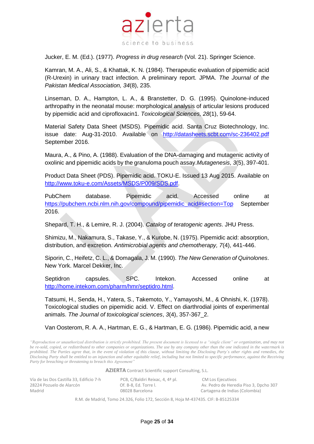

Jucker, E. M. (Ed.). (1977). *Progress in drug research* (Vol. 21). Springer Science.

Kamran, M. A., Ali, S., & Khattak, K. N. (1984). Therapeutic evaluation of pipemidic acid (R-Urexin) in urinary tract infection. A preliminary report. JPMA. *The Journal of the Pakistan Medical Association, 34*(8), 235.

Linseman, D. A., Hampton, L. A., & Branstetter, D. G. (1995). Quinolone-induced arthropathy in the neonatal mouse: morphological analysis of articular lesions produced by pipemidic acid and ciprofloxacin1. *Toxicological Sciences, 28*(1), 59-64.

Material Safety Data Sheet (MSDS). Pipemidic acid. Santa Cruz Biotechnology, Inc. issue date: Aug-31-2010. Available on <http://datasheets.scbt.com/sc-236402.pdf> September 2016.

Maura, A., & Pino, A. (1988). Evaluation of the DNA-damaging and mutagenic activity of oxolinic and pipemidic acids by the granuloma pouch assay.*Mutagenesis*, *3*(5), 397-401.

Product Data Sheet (PDS). Pipemidic acid. TOKU-E. Issued 13 Aug 2015. Available on [http://www.toku-e.com/Assets/MSDS/P009/SDS.pdf.](http://www.toku-e.com/Assets/MSDS/P009/SDS.pdf)

PubChem database. Pipemidic acid. Accessed online at [https://pubchem.ncbi.nlm.nih.gov/compound/pipemidic\\_acid#section=Top](https://pubchem.ncbi.nlm.nih.gov/compound/pipemidic_acid#section=Top) September 2016.

Shepard, T. H., & Lemire, R. J. (2004). *Catalog of teratogenic agents*. JHU Press.

Shimizu, M., Nakamura, S., Takase, Y., & Kurobe, N. (1975). Pipemidic acid: absorption, distribution, and excretion. *Antimicrobial agents and chemotherapy, 7*(4), 441-446.

Siporin, C., Heifetz, C. L., & Domagala, J. M. (1990). *The New Generation of Quinolones*. New York. Marcel Dekker, Inc.

Septidron capsules. SPC. Intekon. Accessed online at [http://home.intekom.com/pharm/hmr/septidro.html.](http://home.intekom.com/pharm/hmr/septidro.html)

Tatsumi, H., Senda, H., Yatera, S., Takemoto, Y., Yamayoshi, M., & Ohnishi, K. (1978). Toxicological studies on pipemidic acid. V. Effect on diarthrodial joints of experimental animals. *The Journal of toxicological sciences*, *3*(4), 357-367\_2.

Van Oosterom, R. A. A., Hartman, E. G., & Hartman, E. G. (1986). Pipemidic acid, a new

*"Reproduction or unauthorized distribution is strictly prohibited. The present document is licensed to a "single client" or organization, and may not be re-sold, copied, or redistributed to other companies or organizations. The use by any company other than the one indicated in the watermark is prohibited. The Parties agree that, in the event of violation of this clause, without limiting the Disclosing Party´s other rights and remedies, the Disclosing Party shall be entitled to an injunction and other equitable relief, including but not limited to specific performance, against the Receiving Party for breaching or threatening to breach this Agreement"*

**AZIERTA** Contract Scientific support Consulting, S.L.

| Vía de las Dos Castilla 33, Edificio 7-h | PCB, C/Baldiri Reixac, 4, 4ª pl. | CM Los Ejecutivos                      |
|------------------------------------------|----------------------------------|----------------------------------------|
| 28224 Pozuelo de Alarcón                 | Of. B-8. Ed. Torre I.            | Av. Pedro de Heredia Piso 3, Dpcho 307 |
| Madrid                                   | 08028 Barcelona                  | Cartagena de Indias (Colombia)         |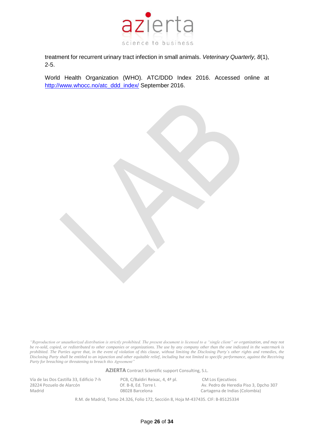

treatment for recurrent urinary tract infection in small animals. *Veterinary Quarterly, 8*(1), 2-5.

World Health Organization (WHO). ATC/DDD Index 2016. Accessed online at [http://www.whocc.no/atc\\_ddd\\_index/](http://www.whocc.no/atc_ddd_index/) September 2016.

*"Reproduction or unauthorized distribution is strictly prohibited. The present document is licensed to a "single client" or organization, and may not be re-sold, copied, or redistributed to other companies or organizations. The use by any company other than the one indicated in the watermark is prohibited. The Parties agree that, in the event of violation of this clause, without limiting the Disclosing Party´s other rights and remedies, the Disclosing Party shall be entitled to an injunction and other equitable relief, including but not limited to specific performance, against the Receiving Party for breaching or threatening to breach this Agreement"*

**AZIERTA** Contract Scientific support Consulting, S.L.

Vía de las Dos Castilla 33, Edificio 7-h PCB, C/Baldiri Reixac, 4, 4ª pl. CM Los Ejecutivos<br>28224 Pozuelo de Alarcón Cf. B-8. Ed. Torre I. Av. Pedro de Herec

28224 Pozuelo de Alarcón **Calaccia El Canaccia Piso de Alarcón** Of. B-8, Ed. Torre l. Av. Pedro de Heredia Piso 3, Dpcho 307<br>
08028 Barcelona Cartagena de Indias (Colombia) 08028 Barcelona Cartagena de Indias (Colombia)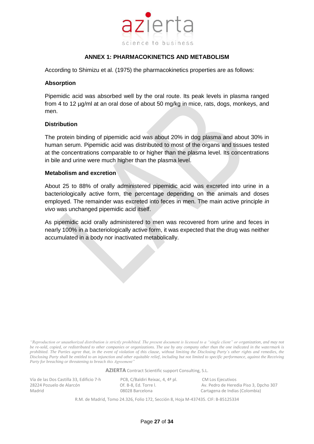

# **ANNEX 1: PHARMACOKINETICS AND METABOLISM**

<span id="page-26-0"></span>According to Shimizu et al. (1975) the pharmacokinetics properties are as follows:

#### **Absorption**

Pipemidic acid was absorbed well by the oral route. Its peak levels in plasma ranged from 4 to 12 µg/ml at an oral dose of about 50 mg/kg in mice, rats, dogs, monkeys, and men.

## **Distribution**

The protein binding of pipemidic acid was about 20% in dog plasma and about 30% in human serum. Pipemidic acid was distributed to most of the organs and tissues tested at the concentrations comparable to or higher than the plasma level. Its concentrations in bile and urine were much higher than the plasma level.

## **Metabolism and excretion**

About 25 to 88% of orally administered pipemidic acid was excreted into urine in a bacteriologically active form, the percentage depending on the animals and doses employed. The remainder was excreted into feces in men. The main active principle *in vivo* was unchanged pipemidic acid itself.

As pipemidic acid orally administered to men was recovered from urine and feces in nearly 100% in a bacteriologically active form, it was expected that the drug was neither accumulated in a body nor inactivated metabolically.

*"Reproduction or unauthorized distribution is strictly prohibited. The present document is licensed to a "single client" or organization, and may not be re-sold, copied, or redistributed to other companies or organizations. The use by any company other than the one indicated in the watermark is prohibited. The Parties agree that, in the event of violation of this clause, without limiting the Disclosing Party´s other rights and remedies, the Disclosing Party shall be entitled to an injunction and other equitable relief, including but not limited to specific performance, against the Receiving Party for breaching or threatening to breach this Agreement"*

**AZIERTA** Contract Scientific support Consulting, S.L.

Vía de las Dos Castilla 33, Edificio 7-h PCB, C/Baldiri Reixac, 4, 4ª pl. CM Los Ejecutivos Madrid 08028 Barcelona Cartagena de Indias (Colombia)

28224 Pozuelo de Alarcón Of. B-8, Ed. Torre l. Av. Pedro de Heredia Piso 3, Dpcho 307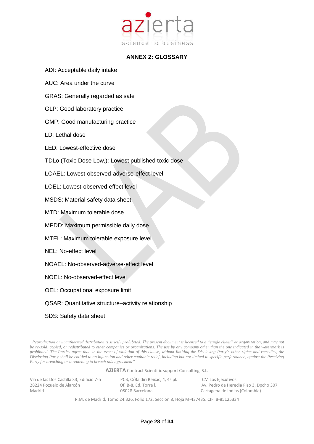

# **ANNEX 2: GLOSSARY**

- <span id="page-27-0"></span>ADI: Acceptable daily intake
- AUC: Area under the curve
- GRAS: Generally regarded as safe
- GLP: Good laboratory practice
- GMP: Good manufacturing practice
- LD: Lethal dose
- LED: Lowest-effective dose
- TDLo (Toxic Dose Low,): Lowest published toxic dose
- LOAEL: Lowest-observed-adverse-effect level
- LOEL: Lowest-observed-effect level
- MSDS: Material safety data sheet
- MTD: Maximum tolerable dose
- MPDD: Maximum permissible daily dose
- MTEL: Maximum tolerable exposure level
- NEL: No-effect level
- NOAEL: No-observed-adverse-effect level
- NOEL: No-observed-effect level
- OEL: Occupational exposure limit
- QSAR: Quantitative structure–activity relationship
- SDS: Safety data sheet

*"Reproduction or unauthorized distribution is strictly prohibited. The present document is licensed to a "single client" or organization, and may not be re-sold, copied, or redistributed to other companies or organizations. The use by any company other than the one indicated in the watermark is prohibited. The Parties agree that, in the event of violation of this clause, without limiting the Disclosing Party´s other rights and remedies, the Disclosing Party shall be entitled to an injunction and other equitable relief, including but not limited to specific performance, against the Receiving Party for breaching or threatening to breach this Agreement"*

**AZIERTA** Contract Scientific support Consulting, S.L.

| Vía de las Dos Castilla 33, Edificio 7-h |  |
|------------------------------------------|--|
| 28224 Pozuelo de Alarcón                 |  |
| Madrid                                   |  |

PCB, C/Baldiri Reixac, 4, 4ª pl. CM Los Ejecutivos

282. Port. B-8, Ed. Torre l. Av. Pedro de Heredia Piso 3, Dpcho 307 08028 Barcelona Cartagena de Indias (Colombia)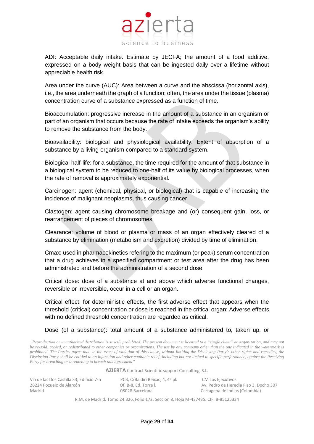

ADI: Acceptable daily intake. Estimate by JECFA; the amount of a food additive, expressed on a body weight basis that can be ingested daily over a lifetime without appreciable health risk.

Area under the curve (AUC): Area between a curve and the abscissa (horizontal axis), i.e., the area underneath the graph of a function; often, the area under the tissue (plasma) concentration curve of a substance expressed as a function of time.

Bioaccumulation: progressive increase in the amount of a substance in an organism or part of an organism that occurs because the rate of intake exceeds the organism's ability to remove the substance from the body.

Bioavailability: biological and physiological availability. Extent of absorption of a substance by a living organism compared to a standard system.

Biological half-life: for a substance, the time required for the amount of that substance in a biological system to be reduced to one-half of its value by biological processes, when the rate of removal is approximately exponential.

Carcinogen: agent (chemical, physical, or biological) that is capable of increasing the incidence of malignant neoplasms, thus causing cancer.

Clastogen: agent causing chromosome breakage and (or) consequent gain, loss, or rearrangement of pieces of chromosomes.

Clearance: volume of blood or plasma or mass of an organ effectively cleared of a substance by elimination (metabolism and excretion) divided by time of elimination.

Cmax: used in pharmacokinetics refering to the maximum (or peak) serum concentration that a drug achieves in a specified compartment or test area after the drug has been administrated and before the administration of a second dose.

Critical dose: dose of a substance at and above which adverse functional changes, reversible or irreversible, occur in a cell or an organ.

Critical effect: for deterministic effects, the first adverse effect that appears when the threshold (critical) concentration or dose is reached in the critical organ: Adverse effects with no defined threshold concentration are regarded as critical.

Dose (of a substance): total amount of a substance administered to, taken up, or

*"Reproduction or unauthorized distribution is strictly prohibited. The present document is licensed to a "single client" or organization, and may not be re-sold, copied, or redistributed to other companies or organizations. The use by any company other than the one indicated in the watermark is prohibited. The Parties agree that, in the event of violation of this clause, without limiting the Disclosing Party´s other rights and remedies, the Disclosing Party shall be entitled to an injunction and other equitable relief, including but not limited to specific performance, against the Receiving Party for breaching or threatening to breach this Agreement"*

**AZIERTA** Contract Scientific support Consulting, S.L.

| Vía de las Dos Castilla 33, Edificio 7-h | PCB, C/Baldiri Reixac, 4, 4ª pl. | CM Los Ejecutivos                      |
|------------------------------------------|----------------------------------|----------------------------------------|
| 28224 Pozuelo de Alarcón                 | Of. B-8. Ed. Torre I.            | Av. Pedro de Heredia Piso 3, Dpcho 307 |
| Madrid                                   | 08028 Barcelona                  | Cartagena de Indias (Colombia)         |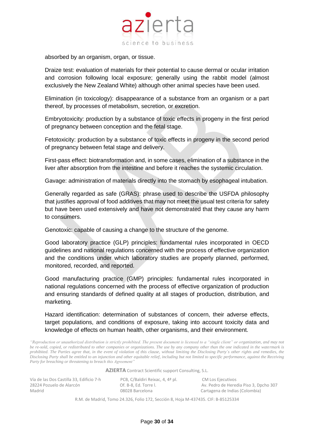

absorbed by an organism, organ, or tissue.

Draize test: evaluation of materials for their potential to cause dermal or ocular irritation and corrosion following local exposure; generally using the rabbit model (almost exclusively the New Zealand White) although other animal species have been used.

Elimination (in toxicology): disappearance of a substance from an organism or a part thereof, by processes of metabolism, secretion, or excretion.

Embryotoxicity: production by a substance of toxic effects in progeny in the first period of pregnancy between conception and the fetal stage.

Fetotoxicity: production by a substance of toxic effects in progeny in the second period of pregnancy between fetal stage and delivery.

First-pass effect: biotransformation and, in some cases, elimination of a substance in the liver after absorption from the intestine and before it reaches the systemic circulation.

Gavage: administration of materials directly into the stomach by esophageal intubation.

Generally regarded as safe (GRAS): phrase used to describe the USFDA philosophy that justifies approval of food additives that may not meet the usual test criteria for safety but have been used extensively and have not demonstrated that they cause any harm to consumers.

Genotoxic: capable of causing a change to the structure of the genome.

Good laboratory practice (GLP) principles: fundamental rules incorporated in OECD guidelines and national regulations concerned with the process of effective organization and the conditions under which laboratory studies are properly planned, performed, monitored, recorded, and reported.

Good manufacturing practice (GMP) principles: fundamental rules incorporated in national regulations concerned with the process of effective organization of production and ensuring standards of defined quality at all stages of production, distribution, and marketing.

Hazard identification: determination of substances of concern, their adverse effects, target populations, and conditions of exposure, taking into account toxicity data and knowledge of effects on human health, other organisms, and their environment.

*"Reproduction or unauthorized distribution is strictly prohibited. The present document is licensed to a "single client" or organization, and may not be re-sold, copied, or redistributed to other companies or organizations. The use by any company other than the one indicated in the watermark is prohibited. The Parties agree that, in the event of violation of this clause, without limiting the Disclosing Party´s other rights and remedies, the Disclosing Party shall be entitled to an injunction and other equitable relief, including but not limited to specific performance, against the Receiving Party for breaching or threatening to breach this Agreement"*

**AZIERTA** Contract Scientific support Consulting, S.L.

Vía de las Dos Castilla 33, Edificio 7-h PCB, C/Baldiri Reixac, 4, 4ª pl. CM Los Ejecutivos<br>28224 Pozuelo de Alarcón Cf. B-8, Ed. Torre l. Av. Pedro de Herec Madrid 08028 Barcelona Cartagena de Indias (Colombia)

28224 Pozuelo de Alarcón Of. B-8, Ed. Torre l. Av. Pedro de Heredia Piso 3, Dpcho 307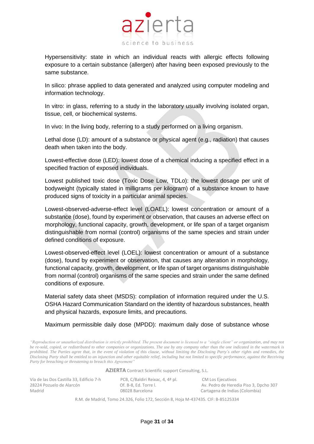

Hypersensitivity: state in which an individual reacts with allergic effects following exposure to a certain substance (allergen) after having been exposed previously to the same substance.

In silico: phrase applied to data generated and analyzed using computer modeling and information technology.

In vitro: in glass, referring to a study in the laboratory usually involving isolated organ, tissue, cell, or biochemical systems.

In vivo: In the living body, referring to a study performed on a living organism.

Lethal dose (LD): amount of a substance or physical agent (e.g., radiation) that causes death when taken into the body.

Lowest-effective dose (LED): lowest dose of a chemical inducing a specified effect in a specified fraction of exposed individuals.

Lowest published toxic dose (Toxic Dose Low, TDLo): the lowest dosage per unit of bodyweight (typically stated in milligrams per kilogram) of a substance known to have produced signs of toxicity in a particular animal species.

Lowest-observed-adverse-effect level (LOAEL): lowest concentration or amount of a substance (dose), found by experiment or observation, that causes an adverse effect on morphology, functional capacity, growth, development, or life span of a target organism distinguishable from normal (control) organisms of the same species and strain under defined conditions of exposure.

Lowest-observed-effect level (LOEL): lowest concentration or amount of a substance (dose), found by experiment or observation, that causes any alteration in morphology, functional capacity, growth, development, or life span of target organisms distinguishable from normal (control) organisms of the same species and strain under the same defined conditions of exposure.

Material safety data sheet (MSDS): compilation of information required under the U.S. OSHA Hazard Communication Standard on the identity of hazardous substances, health and physical hazards, exposure limits, and precautions.

Maximum permissible daily dose (MPDD): maximum daily dose of substance whose

*"Reproduction or unauthorized distribution is strictly prohibited. The present document is licensed to a "single client" or organization, and may not be re-sold, copied, or redistributed to other companies or organizations. The use by any company other than the one indicated in the watermark is prohibited. The Parties agree that, in the event of violation of this clause, without limiting the Disclosing Party´s other rights and remedies, the Disclosing Party shall be entitled to an injunction and other equitable relief, including but not limited to specific performance, against the Receiving Party for breaching or threatening to breach this Agreement"*

**AZIERTA** Contract Scientific support Consulting, S.L.

| Vía de las Dos Castilla 33, Edificio 7-h | PCB, C/Baldiri Reixac, 4, 4ª pl. | CM Los Ejecutivos                      |
|------------------------------------------|----------------------------------|----------------------------------------|
| 28224 Pozuelo de Alarcón                 | Of. B-8. Ed. Torre I.            | Av. Pedro de Heredia Piso 3, Dpcho 307 |
| Madrid                                   | 08028 Barcelona                  | Cartagena de Indias (Colombia)         |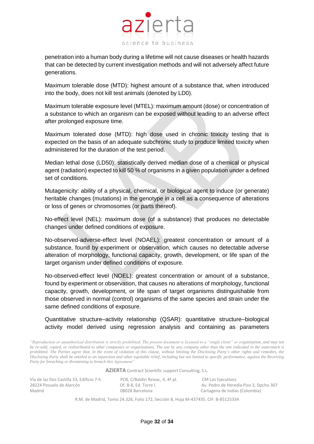

penetration into a human body during a lifetime will not cause diseases or health hazards that can be detected by current investigation methods and will not adversely affect future generations.

Maximum tolerable dose (MTD): highest amount of a substance that, when introduced into the body, does not kill test animals (denoted by LD0).

Maximum tolerable exposure level (MTEL): maximum amount (dose) or concentration of a substance to which an organism can be exposed without leading to an adverse effect after prolonged exposure time.

Maximum tolerated dose (MTD): high dose used in chronic toxicity testing that is expected on the basis of an adequate subchronic study to produce limited toxicity when administered for the duration of the test period.

Median lethal dose (LD50): statistically derived median dose of a chemical or physical agent (radiation) expected to kill 50 % of organisms in a given population under a defined set of conditions.

Mutagenicity: ability of a physical, chemical, or biological agent to induce (or generate) heritable changes (mutations) in the genotype in a cell as a consequence of alterations or loss of genes or chromosomes (or parts thereof).

No-effect level (NEL): maximum dose (of a substance) that produces no detectable changes under defined conditions of exposure.

No-observed-adverse-effect level (NOAEL): greatest concentration or amount of a substance, found by experiment or observation, which causes no detectable adverse alteration of morphology, functional capacity, growth, development, or life span of the target organism under defined conditions of exposure.

No-observed-effect level (NOEL): greatest concentration or amount of a substance, found by experiment or observation, that causes no alterations of morphology, functional capacity, growth, development, or life span of target organisms distinguishable from those observed in normal (control) organisms of the same species and strain under the same defined conditions of exposure.

Quantitative structure–activity relationship (QSAR): quantitative structure–biological activity model derived using regression analysis and containing as parameters

*"Reproduction or unauthorized distribution is strictly prohibited. The present document is licensed to a "single client" or organization, and may not be re-sold, copied, or redistributed to other companies or organizations. The use by any company other than the one indicated in the watermark is prohibited. The Parties agree that, in the event of violation of this clause, without limiting the Disclosing Party´s other rights and remedies, the Disclosing Party shall be entitled to an injunction and other equitable relief, including but not limited to specific performance, against the Receiving Party for breaching or threatening to breach this Agreement"*

**AZIERTA** Contract Scientific support Consulting, S.L.

Vía de las Dos Castilla 33, Edificio 7-h PCB, C/Baldiri Reixac, 4, 4ª pl. CM Los Ejecutivos<br>28224 Pozuelo de Alarcón Cf. B-8, Ed. Torre l. Av. Pedro de Herec Madrid 08028 Barcelona Cartagena de Indias (Colombia)

28224 Pozuelo de Alarcón Of. B-8, Ed. Torre l. Av. Pedro de Heredia Piso 3, Dpcho 307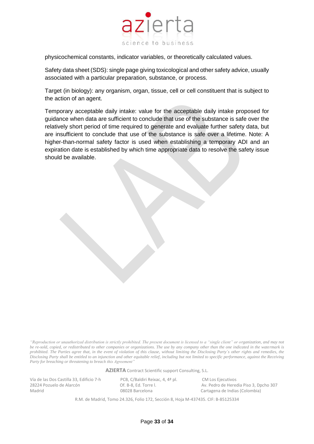

physicochemical constants, indicator variables, or theoretically calculated values.

Safety data sheet (SDS): single page giving toxicological and other safety advice, usually associated with a particular preparation, substance, or process.

Target (in biology): any organism, organ, tissue, cell or cell constituent that is subject to the action of an agent.

Temporary acceptable daily intake: value for the acceptable daily intake proposed for guidance when data are sufficient to conclude that use of the substance is safe over the relatively short period of time required to generate and evaluate further safety data, but are insufficient to conclude that use of the substance is safe over a lifetime. Note: A higher-than-normal safety factor is used when establishing a temporary ADI and an expiration date is established by which time appropriate data to resolve the safety issue should be available.

*"Reproduction or unauthorized distribution is strictly prohibited. The present document is licensed to a "single client" or organization, and may not be re-sold, copied, or redistributed to other companies or organizations. The use by any company other than the one indicated in the watermark is prohibited. The Parties agree that, in the event of violation of this clause, without limiting the Disclosing Party´s other rights and remedies, the Disclosing Party shall be entitled to an injunction and other equitable relief, including but not limited to specific performance, against the Receiving Party for breaching or threatening to breach this Agreement"*

**AZIERTA** Contract Scientific support Consulting, S.L.

Vía de las Dos Castilla 33, Edificio 7-h PCB, C/Baldiri Reixac, 4, 4ª pl. CM Los Ejecutivos Madrid 08028 Barcelona Cartagena de Indias (Colombia)

28224 Pozuelo de Alarcón Of. B-8, Ed. Torre l. Av. Pedro de Heredia Piso 3, Dpcho 307